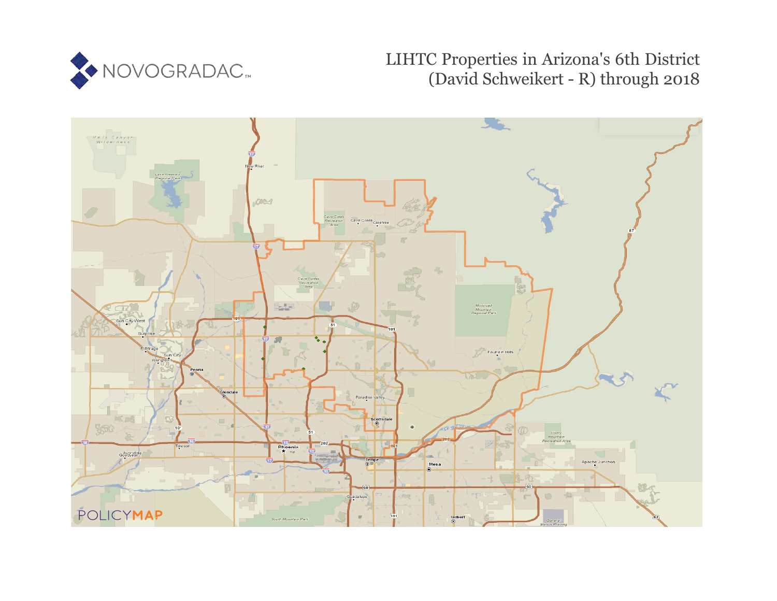

## LIHTC Properties in Arizona's 6th District (David Schweikert - R) through 2018

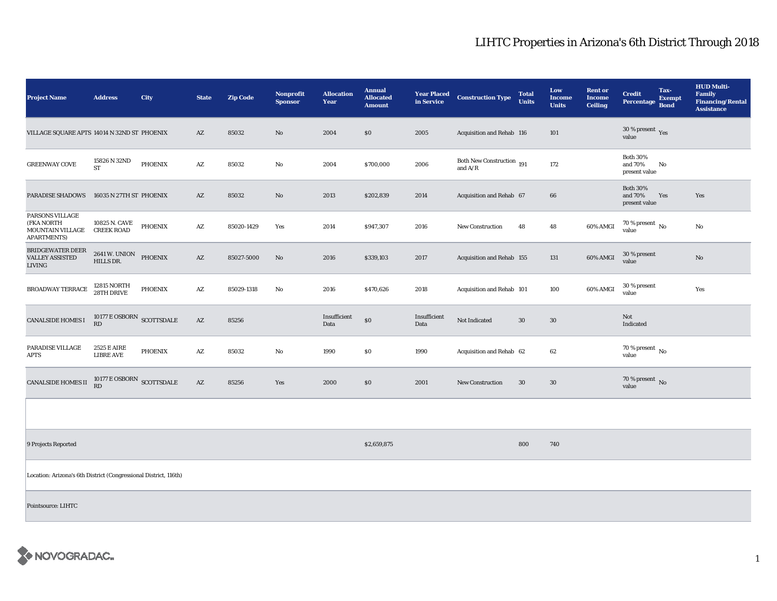## LIHTC Properties in Arizona's 6th District Through 2018

| <b>Project Name</b>                                                                   | <b>Address</b>                               | City           | <b>State</b>           | <b>Zip Code</b> | Nonprofit<br><b>Sponsor</b> | <b>Allocation</b><br>Year | <b>Annual</b><br><b>Allocated</b><br><b>Amount</b> | <b>Year Placed</b><br>in Service | <b>Construction Type</b>               | <b>Total</b><br><b>Units</b> | Low<br><b>Income</b><br><b>Units</b> | <b>Rent or</b><br><b>Income</b><br><b>Ceiling</b> | <b>Credit</b><br>Percentage                 | Tax-<br><b>Exempt</b><br><b>Bond</b> | <b>HUD Multi-</b><br><b>Family</b><br><b>Financing/Rental</b><br><b>Assistance</b> |
|---------------------------------------------------------------------------------------|----------------------------------------------|----------------|------------------------|-----------------|-----------------------------|---------------------------|----------------------------------------------------|----------------------------------|----------------------------------------|------------------------------|--------------------------------------|---------------------------------------------------|---------------------------------------------|--------------------------------------|------------------------------------------------------------------------------------|
| VILLAGE SQUARE APTS 14014 N 32ND ST PHOENIX                                           |                                              |                | AZ                     | 85032           | No                          | 2004                      | \$0                                                | 2005                             | Acquisition and Rehab 116              |                              | 101                                  |                                                   | 30 % present $_{Yes}$<br>value              |                                      |                                                                                    |
| <b>GREENWAY COVE</b>                                                                  | 15826 N 32ND<br>ST                           | <b>PHOENIX</b> | AZ                     | 85032           | No                          | 2004                      | \$700,000                                          | 2006                             | Both New Construction 191<br>and $A/R$ |                              | 172                                  |                                                   | <b>Both 30%</b><br>and 70%<br>present value | No                                   |                                                                                    |
| <b>PARADISE SHADOWS</b>                                                               | 16035 N 27TH ST PHOENIX                      |                | $\mathbf{A}\mathbf{Z}$ | 85032           | No                          | 2013                      | \$202,839                                          | 2014                             | Acquisition and Rehab 67               |                              | 66                                   |                                                   | <b>Both 30%</b><br>and 70%<br>present value | Yes                                  | Yes                                                                                |
| <b>PARSONS VILLAGE</b><br>(FKA NORTH<br><b>MOUNTAIN VILLAGE</b><br><b>APARTMENTS)</b> | 10825 N. CAVE<br><b>CREEK ROAD</b>           | <b>PHOENIX</b> | AZ                     | 85020-1429      | Yes                         | 2014                      | \$947,307                                          | 2016                             | New Construction                       | 48                           | 48                                   | 60% AMGI                                          | 70 % present $\,$ No $\,$<br>value          |                                      | No                                                                                 |
| <b>BRIDGEWATER DEER</b><br><b>VALLEY ASSISTED</b><br><b>LIVING</b>                    | 2641 W. UNION<br>HILLS DR.                   | PHOENIX        | $\mathbf{A}\mathbf{Z}$ | 85027-5000      | No                          | 2016                      | \$339,103                                          | 2017                             | Acquisition and Rehab 155              |                              | 131                                  | 60% AMGI                                          | 30 % present<br>value                       |                                      | No                                                                                 |
| BROADWAY TERRACE                                                                      | 12815 NORTH<br>28TH DRIVE                    | <b>PHOENIX</b> | AZ                     | 85029-1318      | No                          | 2016                      | \$470,626                                          | 2018                             | Acquisition and Rehab 101              |                              | 100                                  | 60% AMGI                                          | 30 % present<br>value                       |                                      | Yes                                                                                |
| <b>CANALSIDE HOMES I</b>                                                              | $10177 \to \mathrm{OSBORN}$ SCOTTSDALE<br>RD |                | $\mathbf{A}\mathbf{Z}$ | 85256           |                             | Insufficient<br>Data      | \$0                                                | Insufficient<br>Data             | Not Indicated                          | $30\,$                       | $30\,$                               |                                                   | Not<br>Indicated                            |                                      |                                                                                    |
| PARADISE VILLAGE<br><b>APTS</b>                                                       | 2525 E AIRE<br><b>LIBRE AVE</b>              | PHOENIX        | AZ                     | 85032           | No                          | 1990                      | \$0                                                | 1990                             | Acquisition and Rehab 62               |                              | 62                                   |                                                   | 70 % present $\hbox{~No}$<br>value          |                                      |                                                                                    |
| <b>CANALSIDE HOMES II</b>                                                             | $10177 \to \text{OSBORN}$ SCOTTSDALE RD      |                | $\mathbf{A}\mathbf{Z}$ | 85256           | Yes                         | 2000                      | \$0                                                | 2001                             | New Construction                       | 30                           | $30\,$                               |                                                   | 70 % present $\overline{N}$<br>value        |                                      |                                                                                    |
|                                                                                       |                                              |                |                        |                 |                             |                           |                                                    |                                  |                                        |                              |                                      |                                                   |                                             |                                      |                                                                                    |
| 9 Projects Reported                                                                   |                                              |                |                        |                 |                             |                           | \$2,659,875                                        |                                  |                                        | 800                          | 740                                  |                                                   |                                             |                                      |                                                                                    |
| Location: Arizona's 6th District (Congressional District, 116th)                      |                                              |                |                        |                 |                             |                           |                                                    |                                  |                                        |                              |                                      |                                                   |                                             |                                      |                                                                                    |
| Pointsource: LIHTC                                                                    |                                              |                |                        |                 |                             |                           |                                                    |                                  |                                        |                              |                                      |                                                   |                                             |                                      |                                                                                    |